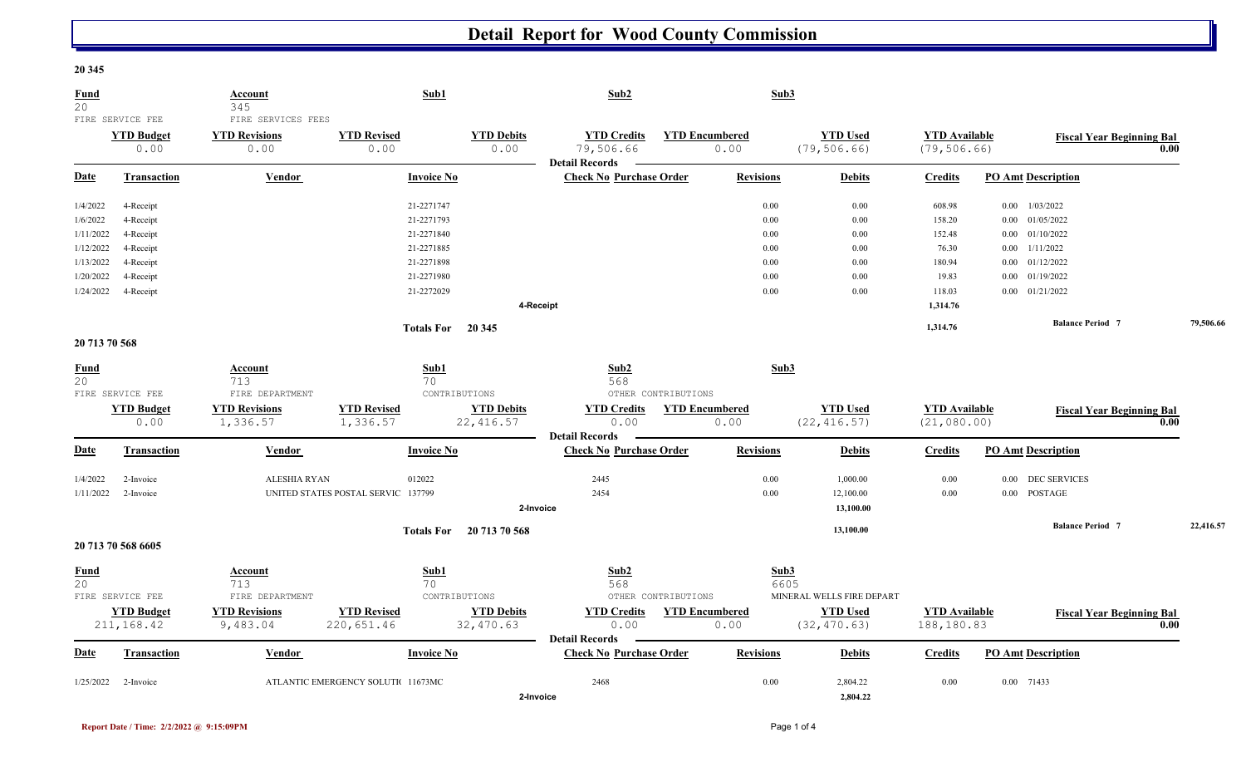## **Detail Report for Wood County Commission**

## **20 345**

| Fund<br>20        | FIRE SERVICE FEE                | Account<br>345<br>FIRE SERVICES FEES | Sub1                               |                                 | Sub2                                                    |                       | Sub3             |                                 |                                      |      |                                  |      |           |
|-------------------|---------------------------------|--------------------------------------|------------------------------------|---------------------------------|---------------------------------------------------------|-----------------------|------------------|---------------------------------|--------------------------------------|------|----------------------------------|------|-----------|
|                   | <b>YTD Budget</b><br>0.00       | <b>YTD Revisions</b><br>0.00         | <b>YTD Revised</b><br>0.00         | <b>YTD Debits</b><br>0.00       | <b>YTD Credits</b><br>79,506.66                         | <b>YTD Encumbered</b> | 0.00             | <b>YTD Used</b><br>(79, 506.66) | <b>YTD</b> Available<br>(79, 506.66) |      | <b>Fiscal Year Beginning Bal</b> | 0.00 |           |
| Date              | <b>Transaction</b>              | Vendor                               | <b>Invoice No</b>                  |                                 | <b>Detail Records</b><br><b>Check No Purchase Order</b> |                       | <b>Revisions</b> | <b>Debits</b>                   | <b>Credits</b>                       |      | <b>PO Amt Description</b>        |      |           |
| 1/4/2022          | 4-Receipt                       |                                      | 21-2271747                         |                                 |                                                         |                       | 0.00             | 0.00                            | 608.98                               |      | $0.00$ $1/03/2022$               |      |           |
| 1/6/2022          | 4-Receipt                       |                                      | 21-2271793                         |                                 |                                                         |                       | 0.00             | 0.00                            | 158.20                               |      | $0.00$ $01/05/2022$              |      |           |
| 1/11/2022         | 4-Receipt                       |                                      | 21-2271840                         |                                 |                                                         |                       | 0.00             | 0.00                            | 152.48                               |      | $0.00$ $01/10/2022$              |      |           |
| 1/12/2022         | 4-Receipt                       |                                      | 21-2271885                         |                                 |                                                         |                       | 0.00             | 0.00                            | 76.30                                |      | $0.00$ $1/11/2022$               |      |           |
| 1/13/2022         | 4-Receipt                       |                                      | 21-2271898                         |                                 |                                                         |                       | 0.00             | 0.00                            | 180.94                               |      | $0.00$ $01/12/2022$              |      |           |
| 1/20/2022         | 4-Receipt                       |                                      | 21-2271980                         |                                 |                                                         |                       | 0.00             | 0.00                            | 19.83                                |      | $0.00$ $01/19/2022$              |      |           |
| 1/24/2022         | 4-Receipt                       |                                      | 21-2272029                         |                                 |                                                         |                       | 0.00             | 0.00                            | 118.03                               |      | $0.00$ $01/21/2022$              |      |           |
|                   |                                 |                                      |                                    | 4-Receipt                       |                                                         |                       |                  |                                 | 1,314.76                             |      |                                  |      |           |
|                   |                                 |                                      | <b>Totals For</b>                  | 20 345                          |                                                         |                       |                  |                                 | 1,314.76                             |      | <b>Balance Period 7</b>          |      | 79,506.66 |
| 20 713 70 568     |                                 |                                      |                                    |                                 |                                                         |                       |                  |                                 |                                      |      |                                  |      |           |
| <b>Fund</b><br>20 |                                 | Account<br>713                       | Sub1<br>70                         |                                 | Sub2<br>568                                             |                       | Sub3             |                                 |                                      |      |                                  |      |           |
|                   | FIRE SERVICE FEE                | FIRE DEPARTMENT                      |                                    | CONTRIBUTIONS                   |                                                         | OTHER CONTRIBUTIONS   |                  |                                 |                                      |      |                                  |      |           |
|                   | <b>YTD Budget</b><br>0.00       | <b>YTD Revisions</b><br>1,336.57     | <b>YTD Revised</b><br>1,336.57     | <b>YTD Debits</b><br>22, 416.57 | <b>YTD Credits</b><br>0.00                              | <b>YTD Encumbered</b> | 0.00             | <b>YTD Used</b><br>(22, 416.57) | <b>YTD</b> Available<br>(21, 080.00) |      | <b>Fiscal Year Beginning Bal</b> | 0.00 |           |
|                   |                                 |                                      |                                    |                                 | <b>Detail Records</b>                                   |                       |                  |                                 |                                      |      |                                  |      |           |
| Date              | <b>Transaction</b>              | Vendor                               | <b>Invoice No</b>                  |                                 | <b>Check No Purchase Order</b>                          |                       | <b>Revisions</b> | <b>Debits</b>                   | <b>Credits</b>                       |      | <b>PO Amt Description</b>        |      |           |
| 1/4/2022          | 2-Invoice                       | <b>ALESHIA RYAN</b>                  | 012022                             |                                 | 2445                                                    |                       | 0.00             | 1,000.00                        | 0.00                                 | 0.00 | <b>DEC SERVICES</b>              |      |           |
| 1/11/2022         | 2-Invoice                       |                                      | UNITED STATES POSTAL SERVIC 137799 |                                 | 2454                                                    |                       | 0.00             | 12,100.00                       | 0.00                                 |      | 0.00 POSTAGE                     |      |           |
|                   |                                 |                                      |                                    | 2-Invoice                       |                                                         |                       |                  | 13,100.00                       |                                      |      |                                  |      |           |
|                   |                                 |                                      |                                    | Totals For 20 713 70 568        |                                                         |                       |                  | 13,100.00                       |                                      |      | <b>Balance Period 7</b>          |      | 22,416.57 |
|                   | 20 713 70 568 6605              |                                      |                                    |                                 |                                                         |                       |                  |                                 |                                      |      |                                  |      |           |
| <b>Fund</b>       |                                 | <b>Account</b>                       | Sub1                               |                                 | Sub2                                                    |                       | Sub3             |                                 |                                      |      |                                  |      |           |
| 20                |                                 | 713                                  | 70                                 |                                 | 568                                                     |                       |                  | 6605                            |                                      |      |                                  |      |           |
|                   | FIRE SERVICE FEE                | FIRE DEPARTMENT                      |                                    | CONTRIBUTIONS                   |                                                         | OTHER CONTRIBUTIONS   |                  | MINERAL WELLS FIRE DEPART       |                                      |      |                                  |      |           |
|                   | <b>YTD Budget</b><br>211,168.42 | <b>YTD Revisions</b><br>9,483.04     | <b>YTD Revised</b><br>220,651.46   | <b>YTD Debits</b><br>32,470.63  | <b>YTD Credits</b><br>0.00                              | <b>YTD Encumbered</b> | 0.00             | <b>YTD Used</b><br>(32, 470.63) | <b>YTD Available</b><br>188,180.83   |      | <b>Fiscal Year Beginning Bal</b> | 0.00 |           |
|                   |                                 |                                      |                                    |                                 | <b>Detail Records</b>                                   |                       |                  |                                 |                                      |      |                                  |      |           |
| Date              | <b>Transaction</b>              | Vendor                               | <b>Invoice No</b>                  |                                 | <b>Check No Purchase Order</b>                          |                       | <b>Revisions</b> | <b>Debits</b>                   | <b>Credits</b>                       |      | <b>PO Amt Description</b>        |      |           |
| 1/25/2022         | 2-Invoice                       |                                      | ATLANTIC EMERGENCY SOLUTI 11673MC  |                                 | 2468                                                    |                       | 0.00             | 2,804.22                        | 0.00                                 |      | 0.00 71433                       |      |           |
|                   |                                 |                                      |                                    | 2-Invoice                       |                                                         |                       |                  | 2,804.22                        |                                      |      |                                  |      |           |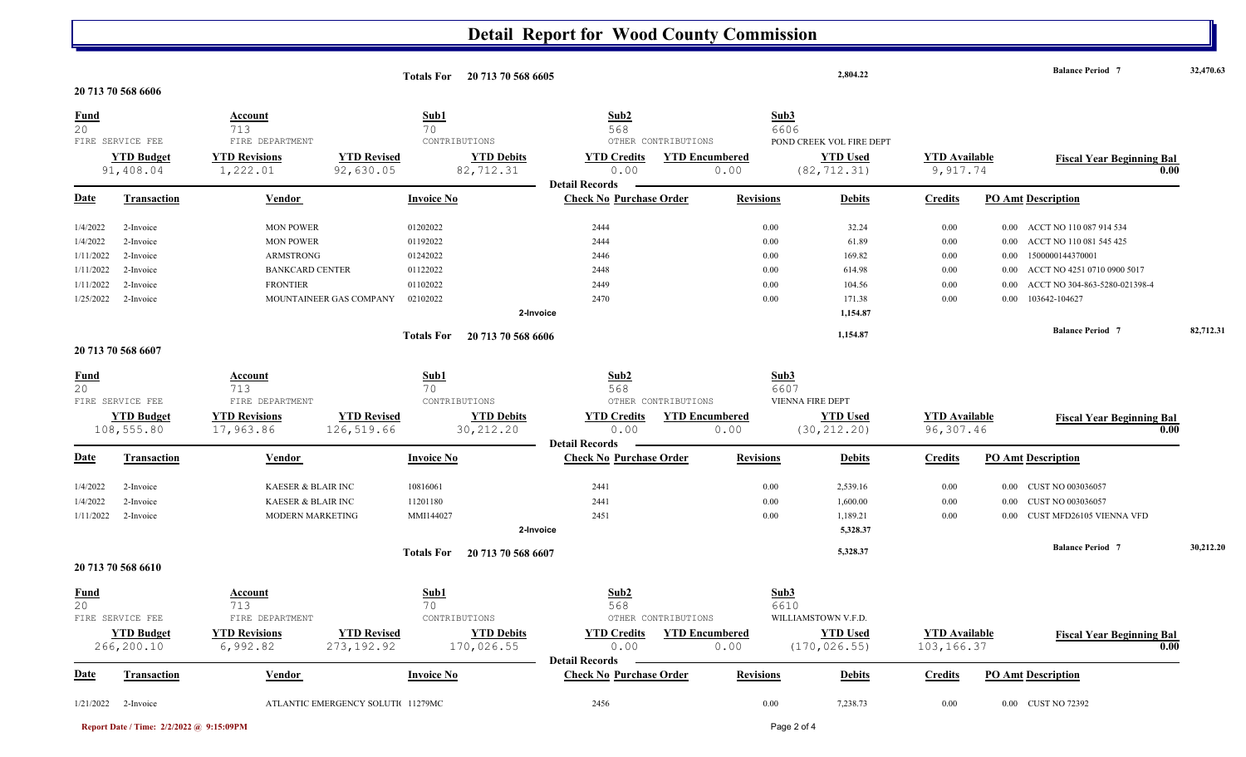## **Detail Report for Wood County Commission**

|                   |                                 |                                          |                                    | Totals For 20 713 70 568 6605                                                          |                               | 2,804.22                                 |                                   | <b>Balance Period 7</b>                  | 32,470.63 |
|-------------------|---------------------------------|------------------------------------------|------------------------------------|----------------------------------------------------------------------------------------|-------------------------------|------------------------------------------|-----------------------------------|------------------------------------------|-----------|
|                   | 20 713 70 568 6606              |                                          |                                    |                                                                                        |                               |                                          |                                   |                                          |           |
| <b>Fund</b><br>20 | FIRE SERVICE FEE                | <b>Account</b><br>713<br>FIRE DEPARTMENT | Sub1<br>70<br>CONTRIBUTIONS        | Sub <sub>2</sub><br>568                                                                | OTHER CONTRIBUTIONS           | Sub3<br>6606<br>POND CREEK VOL FIRE DEPT |                                   |                                          |           |
|                   | <b>YTD Budget</b><br>91,408.04  | <b>YTD Revisions</b><br>1,222.01         | <b>YTD Revised</b><br>92,630.05    | <b>YTD Debits</b><br><b>YTD Credits</b><br>82,712.31<br>0.00                           | <b>YTD Encumbered</b><br>0.00 | <b>YTD Used</b><br>(82, 712.31)          | <b>YTD Available</b><br>9,917.74  | <b>Fiscal Year Beginning Bal</b><br>0.00 |           |
| <b>Date</b>       | <b>Transaction</b>              | Vendor                                   | <b>Invoice No</b>                  | <b>Detail Records</b><br><b>Check No Purchase Order</b>                                | <b>Revisions</b>              | <b>Debits</b>                            | <b>Credits</b>                    | <b>PO Amt Description</b>                |           |
| 1/4/2022          | 2-Invoice                       | <b>MON POWER</b>                         | 01202022                           | 2444                                                                                   |                               | 0.00<br>32.24                            | $0.00\,$                          | ACCT NO 110 087 914 534<br>$0.00\,$      |           |
| 1/4/2022          | 2-Invoice                       | <b>MON POWER</b>                         | 01192022                           | 2444                                                                                   |                               | 0.00<br>61.89                            | $0.00\,$                          | ACCT NO 110 081 545 425<br>0.00          |           |
| 1/11/2022         | 2-Invoice                       | ARMSTRONG                                | 01242022                           | 2446                                                                                   |                               | 0.00<br>169.82                           | $0.00\,$                          | 1500000144370001<br>0.00                 |           |
| 1/11/2022         | 2-Invoice                       | <b>BANKCARD CENTER</b>                   | 01122022                           | 2448                                                                                   |                               | 0.00<br>614.98                           | $0.00\,$                          | ACCT NO 4251 0710 0900 5017<br>0.00      |           |
| 1/11/2022         | 2-Invoice                       | <b>FRONTIER</b>                          | 01102022                           | 2449                                                                                   |                               | 0.00<br>104.56                           | $0.00\,$                          | ACCT NO 304-863-5280-021398-4<br>0.00    |           |
| 1/25/2022         | 2-Invoice                       | MOUNTAINEER GAS COMPANY                  | 02102022                           | 2470<br>2-Invoice                                                                      |                               | 0.00<br>171.38<br>1,154.87               | $0.00\,$                          | 103642-104627<br>0.00                    |           |
|                   |                                 |                                          | <b>Totals For</b>                  | 20 713 70 568 6606                                                                     |                               | 1,154.87                                 |                                   | <b>Balance Period 7</b>                  | 82,712.31 |
|                   | 20 713 70 568 6607              |                                          |                                    |                                                                                        |                               |                                          |                                   |                                          |           |
| <b>Fund</b><br>20 |                                 | <b>Account</b><br>713                    | Sub1<br>70                         | Sub <sub>2</sub><br>568                                                                |                               | Sub3<br>6607                             |                                   |                                          |           |
|                   | FIRE SERVICE FEE                | FIRE DEPARTMENT                          | CONTRIBUTIONS                      |                                                                                        | OTHER CONTRIBUTIONS           | VIENNA FIRE DEPT                         |                                   |                                          |           |
|                   | <b>YTD Budget</b><br>108,555.80 | <b>YTD Revisions</b><br>17,963.86        | <b>YTD Revised</b><br>126,519.66   | <b>YTD Debits</b><br><b>YTD Credits</b><br>30, 212.20<br>0.00<br><b>Detail Records</b> | <b>YTD Encumbered</b><br>0.00 | <b>YTD Used</b><br>(30, 212.20)          | <b>YTD</b> Available<br>96,307.46 | <b>Fiscal Year Beginning Bal</b><br>0.00 |           |
| Date              | Transaction                     | Vendor                                   | <b>Invoice No</b>                  | <b>Check No Purchase Order</b>                                                         | <b>Revisions</b>              | <b>Debits</b>                            | <b>Credits</b>                    | <b>PO Amt Description</b>                |           |
| 1/4/2022          | 2-Invoice                       | KAESER & BLAIR INC                       | 10816061                           | 2441                                                                                   |                               | 0.00<br>2,539.16                         | $0.00\,$                          | <b>CUST NO 003036057</b><br>$0.00\,$     |           |
| 1/4/2022          | 2-Invoice                       | KAESER & BLAIR INC                       | 11201180                           | 2441                                                                                   |                               | 0.00<br>1,600.00                         | $0.00\,$                          | <b>CUST NO 003036057</b><br>0.00         |           |
| 1/11/2022         | 2-Invoice                       | <b>MODERN MARKETING</b>                  | MMI144027                          | 2451                                                                                   |                               | 0.00<br>1,189.21                         | $0.00\,$                          | CUST MFD26105 VIENNA VFD<br>0.00         |           |
|                   |                                 |                                          |                                    | 2-Invoice                                                                              |                               | 5,328.37                                 |                                   |                                          |           |
|                   |                                 |                                          | <b>Totals For</b>                  | 20 713 70 568 6607                                                                     |                               | 5,328.37                                 |                                   | <b>Balance Period 7</b>                  | 30,212.20 |
|                   | 20 713 70 568 6610              |                                          |                                    |                                                                                        |                               |                                          |                                   |                                          |           |
| <b>Fund</b><br>20 |                                 | Account<br>713                           | Sub1<br>70                         | Sub2<br>568                                                                            |                               | Sub3<br>6610                             |                                   |                                          |           |
|                   | FIRE SERVICE FEE                | FIRE DEPARTMENT                          | CONTRIBUTIONS                      |                                                                                        | OTHER CONTRIBUTIONS           | WILLIAMSTOWN V.F.D.                      |                                   |                                          |           |
|                   | <b>YTD Budget</b>               | <b>YTD Revisions</b>                     | <b>YTD Revised</b>                 | <b>YTD Credits</b><br><b>YTD Debits</b>                                                | <b>YTD Encumbered</b>         | <b>YTD Used</b>                          | <b>YTD Available</b>              | <b>Fiscal Year Beginning Bal</b>         |           |
|                   | 266,200.10                      | 6,992.82                                 | 273, 192.92                        | 170,026.55<br>0.00<br><b>Detail Records</b>                                            | 0.00                          | (170, 026.55)                            | 103,166.37                        | 0.00                                     |           |
| <u>Date</u>       | <b>Transaction</b>              | <u>Vendor</u>                            | <b>Invoice No</b>                  | <b>Check No Purchase Order</b>                                                         | <b>Revisions</b>              | <b>Debits</b>                            | <b>Credits</b>                    | <b>PO Amt Description</b>                |           |
|                   | $1/21/2022$ 2-Invoice           |                                          | ATLANTIC EMERGENCY SOLUTIC 11279MC | 2456                                                                                   |                               | 0.00<br>7,238.73                         | $0.00\,$                          | 0.00 CUST NO 72392                       |           |

**Report Date / Time: 2/2/2022 @ 9:15:09PM** Page 2 of 4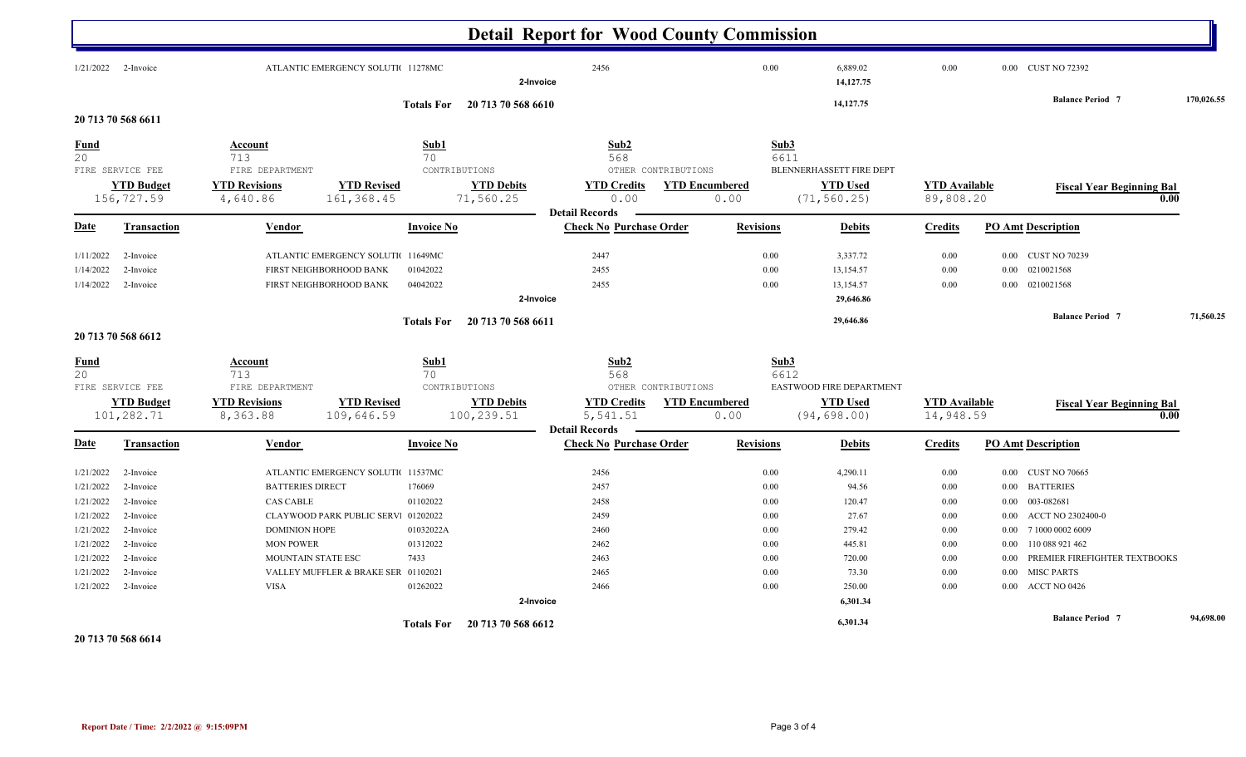|                                                                                                                                                                                                                                        |                                                                                                                              |                                                                                                                                                                                    |                                                 | <b>Detail Report for Wood County Commission</b>                            |                               |                                                                      |                                                                                                   |                                                                      |                                                                                                                                                                                                                                                                                              |            |
|----------------------------------------------------------------------------------------------------------------------------------------------------------------------------------------------------------------------------------------|------------------------------------------------------------------------------------------------------------------------------|------------------------------------------------------------------------------------------------------------------------------------------------------------------------------------|-------------------------------------------------|----------------------------------------------------------------------------|-------------------------------|----------------------------------------------------------------------|---------------------------------------------------------------------------------------------------|----------------------------------------------------------------------|----------------------------------------------------------------------------------------------------------------------------------------------------------------------------------------------------------------------------------------------------------------------------------------------|------------|
| $1/21/2022$ 2-Invoice                                                                                                                                                                                                                  | ATLANTIC EMERGENCY SOLUTIC 11278MC<br>2-Invoice                                                                              |                                                                                                                                                                                    |                                                 | 2456                                                                       |                               | 0.00                                                                 | 6,889.02<br>14,127.75                                                                             | 0.00                                                                 | 0.00 CUST NO 72392                                                                                                                                                                                                                                                                           |            |
| 20 713 70 568 6611                                                                                                                                                                                                                     |                                                                                                                              | <b>Totals For</b>                                                                                                                                                                  | 20 713 70 568 6610                              |                                                                            |                               |                                                                      | 14, 127. 75                                                                                       |                                                                      | <b>Balance Period 7</b>                                                                                                                                                                                                                                                                      | 170,026.55 |
| <b>Fund</b><br>20                                                                                                                                                                                                                      | Account<br>713                                                                                                               | Sub1<br>70                                                                                                                                                                         |                                                 | Sub2<br>568                                                                |                               | Sub3<br>6611                                                         |                                                                                                   |                                                                      |                                                                                                                                                                                                                                                                                              |            |
| FIRE SERVICE FEE<br><b>YTD Budget</b><br>156,727.59                                                                                                                                                                                    | FIRE DEPARTMENT<br><b>YTD Revisions</b><br>4,640.86                                                                          | <b>YTD Revised</b><br>161,368.45                                                                                                                                                   | CONTRIBUTIONS<br><b>YTD Debits</b><br>71,560.25 | OTHER CONTRIBUTIONS<br><b>YTD Credits</b><br>0.00<br><b>Detail Records</b> | <b>YTD Encumbered</b><br>0.00 |                                                                      | BLENNERHASSETT FIRE DEPT<br><b>YTD Used</b><br>(71, 560.25)                                       | <b>YTD</b> Available<br>89,808.20                                    | <b>Fiscal Year Beginning Bal</b><br>0.00                                                                                                                                                                                                                                                     |            |
| <u>Date</u><br><b>Transaction</b>                                                                                                                                                                                                      | Vendor                                                                                                                       | <b>Invoice No</b>                                                                                                                                                                  |                                                 | <b>Check No Purchase Order</b>                                             |                               | <b>Revisions</b>                                                     | <b>Debits</b>                                                                                     | <b>Credits</b>                                                       | <b>PO Amt Description</b>                                                                                                                                                                                                                                                                    |            |
| 2-Invoice<br>1/11/2022<br>1/14/2022<br>2-Invoice<br>1/14/2022<br>2-Invoice                                                                                                                                                             |                                                                                                                              | ATLANTIC EMERGENCY SOLUTI 11649MC<br>FIRST NEIGHBORHOOD BANK<br>01042022<br>FIRST NEIGHBORHOOD BANK<br>04042022                                                                    | 2-Invoice                                       | 2447<br>2455<br>2455                                                       |                               | 0.00<br>0.00<br>0.00                                                 | 3,337.72<br>13,154.57<br>13,154.57<br>29,646.86                                                   | 0.00<br>0.00<br>0.00                                                 | <b>CUST NO 70239</b><br>$0.00\,$<br>0210021568<br>0.00<br>0210021568<br>0.00                                                                                                                                                                                                                 |            |
| 20 713 70 568 6612                                                                                                                                                                                                                     |                                                                                                                              | <b>Totals For</b>                                                                                                                                                                  | 20 713 70 568 6611                              |                                                                            |                               |                                                                      | 29,646.86                                                                                         |                                                                      | <b>Balance Period 7</b>                                                                                                                                                                                                                                                                      | 71,560.25  |
| <b>Fund</b><br>20<br>FIRE SERVICE FEE                                                                                                                                                                                                  | <b>Account</b><br>713<br>FIRE DEPARTMENT                                                                                     | Sub1<br>70                                                                                                                                                                         | CONTRIBUTIONS                                   | Sub2<br>568<br>OTHER CONTRIBUTIONS                                         |                               | Sub3<br>6612                                                         | EASTWOOD FIRE DEPARTMENT                                                                          |                                                                      |                                                                                                                                                                                                                                                                                              |            |
| <b>YTD Budget</b><br>101,282.71                                                                                                                                                                                                        | <b>YTD Revisions</b><br>8,363.88                                                                                             | <b>YTD Revised</b><br>109,646.59                                                                                                                                                   | <b>YTD Debits</b><br>100,239.51                 | <b>YTD Credits</b><br>5,541.51<br><b>Detail Records</b>                    | <b>YTD Encumbered</b><br>0.00 |                                                                      | <b>YTD Used</b><br>(94, 698.00)                                                                   | <b>YTD Available</b><br>14,948.59                                    | <b>Fiscal Year Beginning Bal</b><br>0.00                                                                                                                                                                                                                                                     |            |
| <b>Date</b><br><b>Transaction</b>                                                                                                                                                                                                      | Vendor                                                                                                                       | <b>Invoice No</b>                                                                                                                                                                  |                                                 | <b>Check No Purchase Order</b>                                             |                               | <b>Revisions</b>                                                     | <b>Debits</b>                                                                                     | <b>Credits</b>                                                       | <b>PO Amt Description</b>                                                                                                                                                                                                                                                                    |            |
| 1/21/2022<br>2-Invoice<br>1/21/2022<br>2-Invoice<br>1/21/2022<br>2-Invoice<br>1/21/2022<br>2-Invoice<br>1/21/2022<br>2-Invoice<br>1/21/2022<br>2-Invoice<br>1/21/2022<br>2-Invoice<br>1/21/2022<br>2-Invoice<br>1/21/2022<br>2-Invoice | <b>BATTERIES DIRECT</b><br><b>CAS CABLE</b><br><b>DOMINION HOPE</b><br><b>MON POWER</b><br>MOUNTAIN STATE ESC<br><b>VISA</b> | ATLANTIC EMERGENCY SOLUTI 11537MC<br>176069<br>01102022<br>CLAYWOOD PARK PUBLIC SERV: 01202022<br>01032022A<br>01312022<br>7433<br>VALLEY MUFFLER & BRAKE SER 01102021<br>01262022 | 2-Invoice                                       | 2456<br>2457<br>2458<br>2459<br>2460<br>2462<br>2463<br>2465<br>2466       |                               | 0.00<br>0.00<br>0.00<br>0.00<br>0.00<br>0.00<br>0.00<br>0.00<br>0.00 | 4,290.11<br>94.56<br>120.47<br>27.67<br>279.42<br>445.81<br>720.00<br>73.30<br>250.00<br>6,301.34 | 0.00<br>0.00<br>0.00<br>0.00<br>0.00<br>0.00<br>0.00<br>0.00<br>0.00 | <b>CUST NO 70665</b><br>$0.00\,$<br><b>BATTERIES</b><br>$0.00\,$<br>003-082681<br>$0.00\,$<br>ACCT NO 2302400-0<br>$0.00\,$<br>7 1000 0002 6009<br>$0.00\,$<br>110 088 921 462<br>$0.00\,$<br>PREMIER FIREFIGHTER TEXTBOOKS<br>0.00<br><b>MISC PARTS</b><br>0.00<br>ACCT NO 0426<br>$0.00\,$ |            |
|                                                                                                                                                                                                                                        |                                                                                                                              | <b>Totals For</b>                                                                                                                                                                  | 20 713 70 568 6612                              |                                                                            |                               |                                                                      | 6,301.34                                                                                          |                                                                      | <b>Balance Period 7</b>                                                                                                                                                                                                                                                                      | 94.698.00  |

**20 713 70 568 6614**